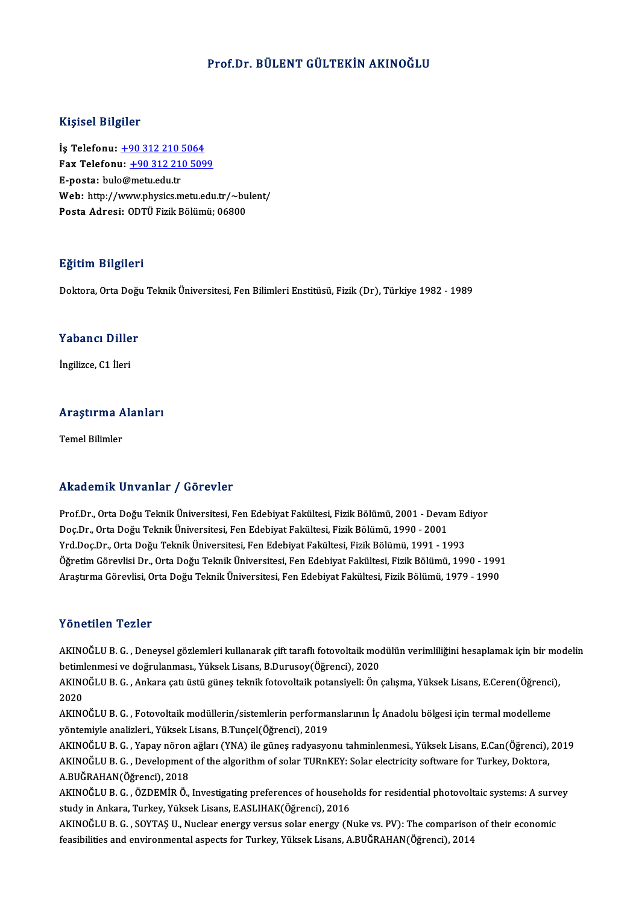### Prof.Dr. BÜLENT GÜLTEKİN AKINOĞLU

#### Kişisel Bilgiler

Kişisel Bilgiler<br>İş Telefonu: <u>+90 312 210 5064</u><br>Fax Telefonu: +90 312 310 509 Fax Telefonu:  $\pm 90$  312 210 5099<br>E-posta: bulo@metu.edu.tr İş Telefonu: <u>+90 312 210 !</u><br>Fax Telefonu: <u>+90 312 21</u><br>E-posta: bul[o@metu.edu.tr](tel:+90 312 210 5064)<br>Web: http://www.physiss.m Fax Telefonu: <u>+90 312 210 5099</u><br>E-posta: bulo@metu.edu.tr<br>Web: http://w[ww.physics.metu.edu](tel:+90 312 210 5099).tr/~bulent/<br>Posta Adrosi: ODT<sup>ij</sup> Firik Bölümü: 06900 E-posta: bulo@metu.edu.tr<br>Web: http://www.physics.metu.edu.tr/~bu<br>Posta Adresi: ODTÜ Fizik Bölümü; 06800

#### Eğitim Bilgileri

Doktora, Orta Doğu Teknik Üniversitesi, Fen Bilimleri Enstitüsü, Fizik (Dr), Türkiye 1982 - 1989

#### Yabancı Diller

İngilizce, C1 İleri

### <sub>Ingliizce, CT lieri<br>Araştırma Alanları</sub> <mark>Araştırma A</mark><br>Temel Bilimler

### Akademik Unvanlar / Görevler

Akademik Unvanlar / Görevler<br>Prof.Dr., Orta Doğu Teknik Üniversitesi, Fen Edebiyat Fakültesi, Fizik Bölümü, 2001 - Devam Ediyor<br>Des Dr., Orta Doğu Teknik Üniversitesi, Fen Edebiyat Fakültesi, Fizik Bölümü, 1990, -2001 rrittat omrit "On varitar" / "dör ov ist<br>Prof.Dr., Orta Doğu Teknik Üniversitesi, Fen Edebiyat Fakültesi, Fizik Bölümü, 2001 - Devai<br>Doç.Dr., Orta Doğu Teknik Üniversitesi, Fen Edebiyat Fakültesi, Fizik Bölümü, 1990 - 2001 Prof.Dr., Orta Doğu Teknik Üniversitesi, Fen Edebiyat Fakültesi, Fizik Bölümü, 2001 - Devam Ed<br>Doç.Dr., Orta Doğu Teknik Üniversitesi, Fen Edebiyat Fakültesi, Fizik Bölümü, 1990 - 2001<br>Yrd.Doç.Dr., Orta Doğu Teknik Ünivers Doç.Dr., Orta Doğu Teknik Üniversitesi, Fen Edebiyat Fakültesi, Fizik Bölümü, 1990 - 2001<br>Yrd.Doç.Dr., Orta Doğu Teknik Üniversitesi, Fen Edebiyat Fakültesi, Fizik Bölümü, 1991 - 1993<br>Öğretim Görevlisi Dr., Orta Doğu Tekni Öğretim Görevlisi Dr., Orta Doğu Teknik Üniversitesi, Fen Edebiyat Fakültesi, Fizik Bölümü, 1990 - 1991<br>Araştırma Görevlisi, Orta Doğu Teknik Üniversitesi, Fen Edebiyat Fakültesi, Fizik Bölümü, 1979 - 1990

#### Yönetilen Tezler

Yönetilen Tezler<br>AKINOĞLU B.G. , Deneysel gözlemleri kullanarak çift taraflı fotovoltaik modülün verimliliğini hesaplamak için bir modelin<br>hetimlenmesi ve değrulanmesi, Yüksek Lisans, B.Durusev(Öğrensi), 2020 1 SILSEILIN 1 SILSI<br>AKINOĞLU B. G. , Deneysel gözlemleri kullanarak çift taraflı fotovoltaik mod<br>betimlenmesi ve doğrulanması., Yüksek Lisans, B.Durusoy(Öğrenci), 2020<br>AKINOĞLU B. C. , Ankara çatı üstü günes taknik fatavel AKINOĞLU B. G. , Deneysel gözlemleri kullanarak çift taraflı fotovoltaik modülün verimliliğini hesaplamak için bir mo<br>betimlenmesi ve doğrulanması., Yüksek Lisans, B.Durusoy(Öğrenci), 2020<br>AKINOĞLU B. G. , Ankara çatı üstü

betimlenmesi ve doğrulanması., Yüksek Lisans, B.Durusoy(Öğrenci), 2020<br>AKINOĞLU B. G. , Ankara çatı üstü güneş teknik fotovoltaik potansiyeli: Ön<br>2020 AKINOĞLU B. G. , Ankara çatı üstü güneş teknik fotovoltaik potansiyeli: Ön çalışma, Yüksek Lisans, E.Ceren(Öğrenci),<br>2020<br>AKINOĞLU B. G. , Fotovoltaik modüllerin/sistemlerin performanslarının İç Anadolu bölgesi için termal

AKINOĞLU B.G., Fotovoltaik modüllerin/sistemlerin performanslarının İç Anadolu bölgesi için termal modelleme AKINOĞLU B. G. , Fotovoltaik modüllerin/sistemlerin performanslarının İç Anadolu bölgesi için termal modelleme<br>yöntemiyle analizleri., Yüksek Lisans, B.Tunçel(Öğrenci), 2019<br>AKINOĞLU B. G. , Yapay nöron ağları (YNA) ile gü

yöntemiyle analizleri., Yüksek Lisans, B.Tunçel(Öğrenci), 2019<br>AKINOĞLU B. G. , Yapay nöron ağları (YNA) ile güneş radyasyonu tahminlenmesi., Yüksek Lisans, E.Can(Öğrenci),<br>AKINOĞLU B. G. , Development of the algorithm of AKINOĞLU B. G. , Yapay nöron<br>AKINOĞLU B. G. , Development<br>A.BUĞRAHAN(Öğrenci), 2018<br>AKINOĞLU B. C. ÖZDEMİR Ö AKINOĞLU B. G. , Development of the algorithm of solar TURnKEY: Solar electricity software for Turkey, Doktora,<br>A.BUĞRAHAN(Öğrenci), 2018<br>AKINOĞLU B. G. , ÖZDEMİR Ö., Investigating preferences of households for residential

A.BUĞRAHAN(Öğrenci), 2018<br>AKINOĞLU B. G. , ÖZDEMİR Ö., Investigating preferences of househo<br>study in Ankara, Turkey, Yüksek Lisans, E.ASLIHAK(Öğrenci), 2016<br>AKINOĞLU B. G., SOYTAS U. Nuslear energy yereye selar energy (N AKINOĞLU B. G. , ÖZDEMİR Ö., Investigating preferences of households for residential photovoltaic systems: A surv<br>study in Ankara, Turkey, Yüksek Lisans, E.ASLIHAK(Öğrenci), 2016<br>AKINOĞLU B. G. , SOYTAŞ U., Nuclear energy

study in Ankara, Turkey, Yüksek Lisans, E.ASLIHAK(Öğrenci), 2016<br>AKINOĞLU B. G. , SOYTAŞ U., Nuclear energy versus solar energy (Nuke vs. PV): The comparison of their economic<br>feasibilities and environmental aspects for Tu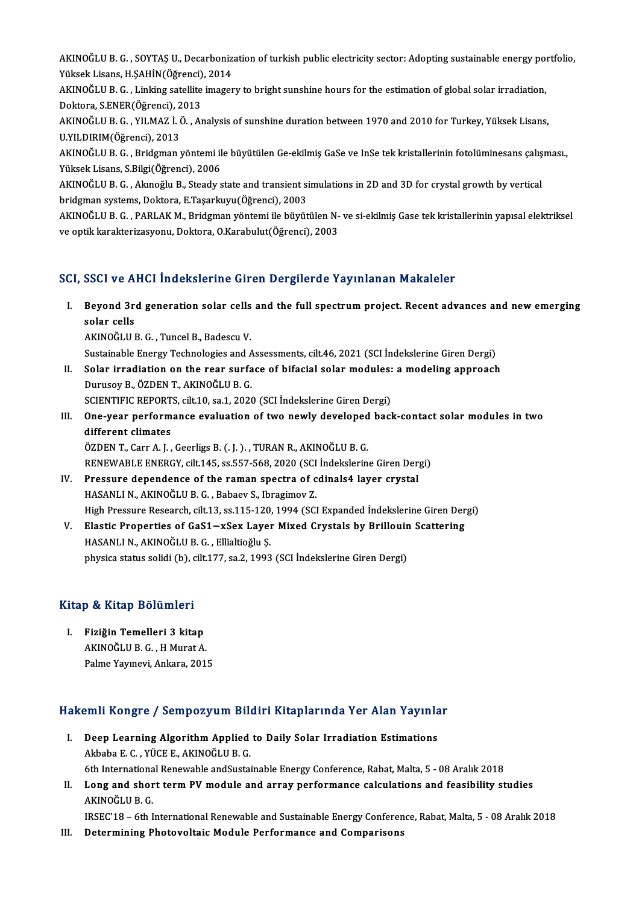AKINOĞLU B. G. , SOYTAŞ U., Decarbonization of turkish public electricity sector: Adopting sustainable energy portfolio,<br>Yükask Lisana, H.SAHIN(Öğməngi), 2014 AKINOĞLU B. G. , SOYTAŞ U., Decarboniz<br>Yüksek Lisans, H.ŞAHİN(Öğrenci), 2014<br>AKINOĞLU B. G. , Linking astallita imagar AKINOĞLU B. G. , SOYTAŞ U., Decarbonization of turkish public electricity sector: Adopting sustainable energy pol<br>Yüksek Lisans, H.ŞAHİN(Öğrenci), 2014<br>AKINOĞLU B. G. , Linking satellite imagery to bright sunshine hours fo

Yüksek Lisans, H.ŞAHİN(Öğrenci), 2014<br>AKINOĞLU B. G. , Linking satellite imagery to bright sunshine hours for the estimation of global solar irradiation, Doktora, S.ENER(Öğrenci), 2013

AKINOĞLU B. G. , YILMAZ İ. Ö. , Analysis of sunshine duration between 1970 and 2010 for Turkey, Yüksek Lisans,<br>U.YILDIRIM(Öğrenci), 2013 AKINOĞLU B. G. , YILMAZ İ. Ö. , Analysis of sunshine duration between 1970 and 2010 for Turkey, Yüksek Lisans,<br>U.YILDIRIM(Öğrenci), 2013<br>AKINOĞLU B. G. , Bridgman yöntemi ile büyütülen Ge-ekilmiş GaSe ve InSe tek kristalle

U.YILDIRIM(Öğrenci), 2013<br>AKINOĞLU B. G. , Bridgman yöntemi il<br>Yüksek Lisans, S.Bilgi(Öğrenci), 2006<br>AKINOĞLU B. C. Alunoğlu B. Steady s AKINOĞLU B. G. , Bridgman yöntemi ile büyütülen Ge-ekilmiş GaSe ve InSe tek kristallerinin fotolüminesans çalış<br>Yüksek Lisans, S.Bilgi(Öğrenci), 2006<br>AKINOĞLU B. G. , Akınoğlu B., Steady state and transient simulations in

Yüksek Lisans, S.Bilgi(Öğrenci), 2006<br>AKINOĞLU B. G. , Akınoğlu B., Steady state and transient simulations in 2D and 3D for crystal growth by vertical<br>bridgman systems, Doktora, E.Taşarkuyu(Öğrenci), 2003 AKINOĞLU B. G. , Akınoğlu B., Steady state and transient simulations in 2D and 3D for crystal growth by vertical<br>bridgman systems, Doktora, E.Taşarkuyu(Öğrenci), 2003<br>AKINOĞLU B. G. , PARLAK M., Bridgman yöntemi ile büyütü

bridgman systems, Doktora, E.Taşarkuyu(Öğrenci), 2003<br>AKINOĞLU B. G. , PARLAK M., Bridgman yöntemi ile büyütülen N-<br>ve optik karakterizasyonu, Doktora, O.Karabulut(Öğrenci), 2003

### ve optik karakterizasyonu, Doktora, O.Karabulut(Öğrenci), 2003<br>SCI, SSCI ve AHCI İndekslerine Giren Dergilerde Yayınlanan Makaleler

- I. Beyond 3rd generation solar cel s and the ful spectrumproject. Recent advances and newemerging Beyond 3r<br>Beyond 3r<br>solar cells<br>AEINOČELLI Beyond 3rd generation solar cells<br>solar cells<br>AKINOĞLU B.G., Tuncel B., Badescu V.<br>Sustainable Energy Technologies and A solar cells<br>AKINOĞLU B. G. , Tuncel B., Badescu V.<br>Sustainable Energy Technologies and Assessments, cilt.46, 2021 (SCI İndekslerine Giren Dergi)<br>Selar irradiation an the rear surface of bifasial selar modulası a modeling a
	-

- AKINOĞLU B. G. , Tuncel B., Badescu V.<br>Sustainable Energy Technologies and Assessments, cilt.46, 2021 (SCI İndekslerine Giren Dergi)<br>II. Solar irradiation on the rear surface of bifacial solar modules: a modeling approach<br> Sustainable Energy Technologies and A<br>Solar irradiation on the rear surfa<br>Durusoy B., ÖZDEN T., AKINOĞLU B. G.<br>SCIENTIEIC PEPOPTS silt 10 ss 1 2020 Solar irradiation on the rear surface of bifacial solar modules:<br>Durusoy B., ÖZDEN T., AKINOĞLU B. G.<br>SCIENTIFIC REPORTS, cilt.10, sa.1, 2020 (SCI İndekslerine Giren Dergi)<br>One year perfermange evaluation of ture pevly dev Durusoy B., ÖZDEN T., AKINOĞLU B. G.<br>SCIENTIFIC REPORTS, cilt.10, sa.1, 2020 (SCI İndekslerine Giren Dergi)<br>III. One-year performance evaluation of two newly developed back-contact solar modules in two<br>different elimates
- SCIENTIFIC REPORT<br>One-year perform<br>different climates<br>ÖZDEN T. Corr A. L different climates<br>ÖZDEN T., Carr A. J. , Geerligs B. (. J. ). , TURAN R., AKINOĞLU B. G.

different climates<br>ÖZDEN T., Carr A. J. , Geerligs B. (. J. ). , TURAN R., AKINOĞLU B. G.<br>RENEWABLE ENERGY, cilt.145, ss.557-568, 2020 (SCI İndekslerine Giren Dergi)<br>Pressure dependence of the raman apostra of sdinalad lav ÖZDEN T., Carr A. J., Geerligs B. (. J.)., TURAN R., AKINOĞLU B. G.<br>RENEWABLE ENERGY, cilt.145, ss.557-568, 2020 (SCI İndekslerine Giren Der<br>IV. Pressure dependence of the raman spectra of cdinals4 layer crystal<br>HASANLI N.

RENEWABLE ENERGY, cilt.145, ss.557-568, 2020 (SCI<br>Pressure dependence of the raman spectra of c<br>HASANLI N., AKINOĞLU B. G. , Babaev S., Ibragimov Z.<br>High Pressure Besearch, silt 12, ss.115, 120, 1994 (SCI Pressure dependence of the raman spectra of cdinals4 layer crystal<br>HASANLI N., AKINOĞLU B. G. , Babaev S., Ibragimov Z.<br>High Pressure Research, cilt.13, ss.115-120, 1994 (SCI Expanded İndekslerine Giren Dergi)<br>Flastia Prep HASANLI N., AKINOĞLU B. G. , Babaev S., Ibragimov Z.<br>High Pressure Research, cilt.13, ss.115-120, 1994 (SCI Expanded İndekslerine Giren Der<br>V. Elastic Properties of GaS1−xSex Layer Mixed Crystals by Brillouin Scattering<br>H

High Pressure Research, cilt.13, ss.115-120,<br>Elastic Properties of GaS1—xSex Layer<br>HASANLI N., AKINOĞLU B. G. , Ellialtioğlu Ş.<br>nhvsise etatus selidi (b), silt.177, se.2, 1992 V. Elastic Properties of GaS1—xSex Layer Mixed Crystals by Brillouin Scattering<br>HASANLI N., AKINOĞLU B. G. , Ellialtioğlu Ş.<br>physica status solidi (b), cilt.177, sa.2, 1993 (SCI İndekslerine Giren Dergi)

# pnysica status solidi (b), c<br>Kitap & Kitap Bölümleri

Itap & Kitap Bölümleri<br>I. Fiziğin Temelleri 3 kitap<br>AKINOČLU B.C. H.Murat A I. Fiziğin Temelleri 3 kitap<br>AKINOĞLU B. G., H Murat A. Palme Yayınevi, Ankara, 2015

# rame raymevı, Ankara, 2015<br>Hakemli Kongre / Sempozyum Bildiri Kitaplarında Yer Alan Yayınlar

- akemli Kongre / Sempozyum Bildiri Kitaplarında Yer Alan Yayınla<br>I. Deep Learning Algorithm Applied to Daily Solar Irradiation Estimations I. Deep Learning Algorithm Applied to Daily Solar Irradiation Estimations<br>Akbaba E. C., YÜCE E., AKINOĞLU B. G. <mark>Deep Learning Algorithm Applied to Daily Solar Irradiation Estimations</mark><br>Akbaba E. C. , YÜCE E., AKINOĞLU B. G.<br>6th International Renewable andSustainable Energy Conference, Rabat, Malta, 5 - 08 Aralık 2018<br>Lang and shart
- II. Long and short term PV module and array performance calculations and feasibility studies<br>AKINOĞLU B. G. 6th Internationa<br>Long and shor<br>AKINOĞLU B. G.<br>IBSEC'19 - 6th L Long and short term PV module and array performance calculations and feasibility studies<br>AKINOĞLU B. G.<br>IRSEC'18 – 6th International Renewable and Sustainable Energy Conference, Rabat, Malta, 5 - 08 Aralık 2018<br>Determining AKINOĞLU B. G.<br>IRSEC'18 – 6th International Renewable and Sustainable Energy Conferen<br>III. Determining Photovoltaic Module Performance and Comparisons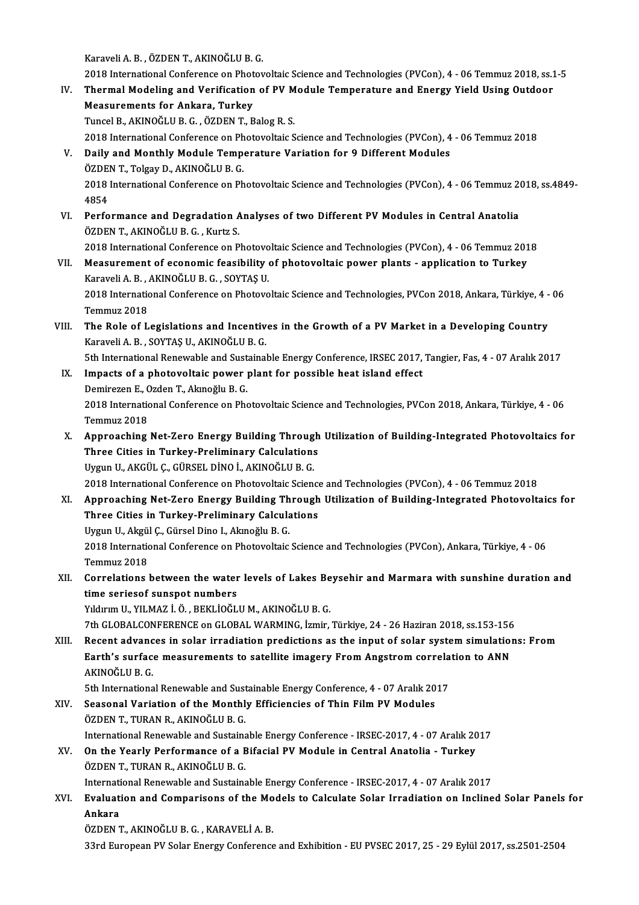KaraveliA.B. ,ÖZDENT.,AKINOĞLUB.G.

- 2018 International Conference on Photovoltaic Science and Technologies (PVCon), 4 06 Temmuz 2018, ss.1-5 Karaveli A. B., ÖZDEN T., AKINOĞLU B. G.<br>2018 International Conference on Photovoltaic Science and Technologies (PVCon), 4 - 06 Temmuz 2018, ss.1<br>IV. Thermal Modeling and Verification of PV Module Temperature and Energy 2018 International Conference on Phot<br>Thermal Modeling and Verification<br>Measurements for Ankara, Turkey<br>Turgel B. AVINOČLU B.C., ÖZDEN T. B Thermal Modeling and Verification of PV M<br>Measurements for Ankara, Turkey<br>Tuncel B., AKINOĞLU B. G. , ÖZDEN T., Balog R. S.<br>2018 International Conference en Phetevoltais S Measurements for Ankara, Turkey<br>Tuncel B., AKINOĞLU B. G. , ÖZDEN T., Balog R. S.<br>2018 International Conference on Photovoltaic Science and Technologies (PVCon), 4 - 06 Temmuz 2018 Tuncel B., AKINOĞLU B. G. , ÖZDEN T., Balog R. S.<br>2018 International Conference on Photovoltaic Science and Technologies (PVCon), 4<br>V. Daily and Monthly Module Temperature Variation for 9 Different Modules<br>ÖZDEN T. Tekev D 2018 International Conference on Ph<br>Daily and Monthly Module Tempe<br>ÖZDEN T., Tolgay D., AKINOĞLU B. G.<br>2018 International Conference on Ph Daily and Monthly Module Temperature Variation for 9 Different Modules<br>ÖZDEN T., Tolgay D., AKINOĞLU B. G.<br>2018 International Conference on Photovoltaic Science and Technologies (PVCon), 4 - 06 Temmuz 2018, ss.4849-<br>4954 ÖZDEI<br>2018<br>4854<br>Perfe 2018 International Conference on Photovoltaic Science and Technologies (PVCon), 4 - 06 Temmuz 20<br>4854<br>VI. Performance and Degradation Analyses of two Different PV Modules in Central Anatolia<br>ÖZDEN T. AKINOČLU P.C. Kurta S
- 4854<br>Performance and Degradation A<br>ÖZDEN T., AKINOĞLU B. G. , Kurtz S.<br>2018 International Conference on B Performance and Degradation Analyses of two Different PV Modules in Central Anatolia<br>ÖZDEN T., AKINOĞLU B. G. , Kurtz S.<br>2018 International Conference on Photovoltaic Science and Technologies (PVCon), 4 - 06 Temmuz 2018<br>Me ÖZDEN T., AKINOĞLU B. G. , Kurtz S.<br>2018 International Conference on Photovoltaic Science and Technologies (PVCon), 4 - 06 Temmuz 2018<br>VII. Measurement of economic feasibility of photovoltaic power plants - application to
- 2018 International Conference on Photovo<br>Measurement of economic feasibility<br>Karaveli A. B. , AKINOĞLU B. G. , SOYTAŞ U.<br>2018 International Conference on Photovo 2018 International Conference on Photovoltaic Science and Technologies, PVCon 2018, Ankara, Türkiye, 4 - 06<br>Temmuz 2018 Karaveli A. B. , ,<br>2018 Internation<br>Temmuz 2018<br>The Pole of L 2018 International Conference on Photovoltaic Science and Technologies, PVCon 2018, Ankara, Türkiye, 4 - Temmuz 2018<br>VIII. The Role of Legislations and Incentives in the Growth of a PV Market in a Developing Country<br>Karave
- Temmuz 2018<br>The Role of Legislations and Incentiv<br>Karaveli A. B. , SOYTAŞ U., AKINOĞLU B. G.<br>Eth International Benewable and Sustainel The Role of Legislations and Incentives in the Growth of a PV Market in a Developing Country<br>Karaveli A. B., SOYTAŞ U., AKINOĞLU B. G.<br>5th International Renewable and Sustainable Energy Conference, IRSEC 2017, Tangier, Fas Karaveli A. B., SOYTAŞ U., AKINOĞLU B. G.<br>5th International Renewable and Sustainable Energy Conference, IRSEC 2017,<br>IX. Impacts of a photovoltaic power plant for possible heat island effect<br>Demirezen E. Ozden T. Aknoğlu B
- 5th International Renewable and Sust<br>Impacts of a photovoltaic power<br>Demirezen E., Ozden T., Akınoğlu B. G.<br>2018 International Conference en Pho I<mark>mpacts of a photovoltaic power plant for possible heat island effect</mark><br>Demirezen E., Ozden T., Akınoğlu B. G.<br>2018 International Conference on Photovoltaic Science and Technologies, PVCon 2018, Ankara, Türkiye, 4 - 06<br>Tem Demirezen E., C<br>2018 Internation<br>Temmuz 2018 2018 International Conference on Photovoltaic Science and Technologies, PVCon 2018, Ankara, Türkiye, 4 - 06<br>Temmuz 2018<br>X. Approaching Net-Zero Energy Building Through Utilization of Building-Integrated Photovoltaics for<br>T
- Temmuz 2018<br>Approaching Net-Zero Energy Building Through<br>Three Cities in Turkey-Preliminary Calculations<br>Urgun II, AKCÜL G CÜRSEL DİNO İ, AKINOČLU B G Approaching Net-Zero Energy Building Throug<br>Three Cities in Turkey-Preliminary Calculations<br>Uygun U., AKGÜL Ç., GÜRSEL DİNOİ., AKINOĞLU B. G.<br>2018 International Conference en Photeveltaje Scienc Three Cities in Turkey-Preliminary Calculations<br>Uygun U., AKGÜL Ç., GÜRSEL DİNO İ., AKINOĞLU B. G.<br>2018 International Conference on Photovoltaic Science and Technologies (PVCon), 4 - 06 Temmuz 2018
- Uygun U., AKGÜL Ç., GÜRSEL DİNO İ., AKINOĞLU B. G.<br>2018 International Conference on Photovoltaic Science and Technologies (PVCon), 4 06 Temmuz 2018<br>XI. Approaching Net-Zero Energy Building Through Utilization of Buil 2018 International Conference on Photovoltaic Science<br>Approaching Net-Zero Energy Building Through<br>Three Cities in Turkey-Preliminary Calculations<br>Urgun II, Algül C. Cürsel Dine L. Aluneğlu B. C. Approaching Net-Zero Energy Building Th<br>Three Cities in Turkey-Preliminary Calcula<br>Uygun U., Akgül Ç., Gürsel Dino I., Akınoğlu B. G.<br>2018 International Conference en Photoveltaje Three Cities in Turkey-Preliminary Calculations<br>Uygun U., Akgül Ç., Gürsel Dino I., Akınoğlu B. G.<br>2018 International Conference on Photovoltaic Science and Technologies (PVCon), Ankara, Türkiye, 4 - 06<br>Tammuz 2019 Uygun U., Akgü<br>2018 Internatio<br>Temmuz 2018<br>Connelations 2018 International Conference on Photovoltaic Science and Technologies (PVCon), Ankara, Türkiye, 4 - 06<br>Temmuz 2018<br>XII. Correlations between the water levels of Lakes Beysehir and Marmara with sunshine duration and<br>time c
- Temmuz 2018<br>Correlations between the water<br>time seriesof sunspot numbers<br>Viduum II, VII MAZ i. Ö., BEKLİQĞI Correlations between the water levels of Lakes Be<br>time seriesof sunspot numbers<br>Yıldırım U., YILMAZ İ.Ö., BEKLİOĞLU M., AKINOĞLU B. G.<br>7th CLOBALCONEERENCE on CLOBAL WARMING İzmin time seriesof sunspot numbers<br>Yıldırım U., YILMAZ İ. Ö. , BEKLİOĞLU M., AKINOĞLU B. G.<br>7th GLOBALCONFERENCE on GLOBAL WARMING, İzmir, Türkiye, 24 - 26 Haziran 2018, ss.153-156

Yıldırım U., YILMAZ İ. Ö. , BEKLİOĞLU M., AKINOĞLU B. G.<br>7th GLOBALCONFERENCE on GLOBAL WARMING, İzmir, Türkiye, 24 - 26 Haziran 2018, ss.153-156<br>XIII. Recent advances in solar irradiation predictions as the input of s 7th GLOBALCONFERENCE on GLOBAL WARMING, İzmir, Türkiye, 24 - 26 Haziran 2018, ss.153-156<br>Recent advances in solar irradiation predictions as the input of solar system simulation<br>Earth's surface measurements to satellite im Recent advanc<br>Earth's surfac<br>AKINOĞLU B. G.<br>Eth Internationa Earth's surface measurements to satellite imagery From Angstrom correla<br>AKINOĞLU B. G.<br>5th International Renewable and Sustainable Energy Conference, 4 - 07 Aralık 2017<br>Seasonal Variation of the Monthly Efficiencies of Thi

AKINOĞLU B. G.<br>5th International Renewable and Sustainable Energy Conference, 4 - 07 Aralık 20<br>XIV. Seasonal Variation of the Monthly Efficiencies of Thin Film PV Modules<br>ÖZDEN T., TURAN R., AKINOĞLU B. G. 5th International Renewable and Sust<br>Seasonal Variation of the Monthl<br>ÖZDEN T., TURAN R., AKINOĞLU B. G.<br>International Benewable and Sustains Seasonal Variation of the Monthly Efficiencies of Thin Film PV Modules<br>ÖZDEN T., TURAN R., AKINOĞLU B. G.<br>International Renewable and Sustainable Energy Conference - IRSEC-2017, 4 - 07 Aralık 2017<br>On the Veerly Berfermanes

XV. On the Yearly Performance of a Bifacial PV Module in Central Anatolia - Turkey International Renewable and Sustaina<br>On the Yearly Performance of a E<br>ÖZDEN T., TURAN R., AKINOĞLU B. G.<br>International Benewable and Sustaina

International Renewable and Sustainable Energy Conference - IRSEC-2017, 4 - 07 Aralık 2017

### ÖZDEN T., TURAN R., AKINOĞLU B. G.<br>International Renewable and Sustainable Energy Conference - IRSEC-2017, 4 - 07 Aralık 2017<br>XVI. Evaluation and Comparisons of the Models to Calculate Solar Irradiation on Inclined Sol Internat<mark>i</mark><br>Evaluat:<br>Ankara<br>Öznen 1 Evaluation and Comparisons of the Mo<br>Ankara<br>ÖZDEN T., AKINOĞLU B. G. , KARAVELİ A. B.<br><sup>22nd Eunonean BV Solar Energy Conference</sup>

Ankara<br>ÖZDEN T., AKINOĞLU B. G. , KARAVELİ A. B.<br>33rd European PV Solar Energy Conference and Exhibition - EU PVSEC 2017, 25 - 29 Eylül 2017, ss.2501-2504